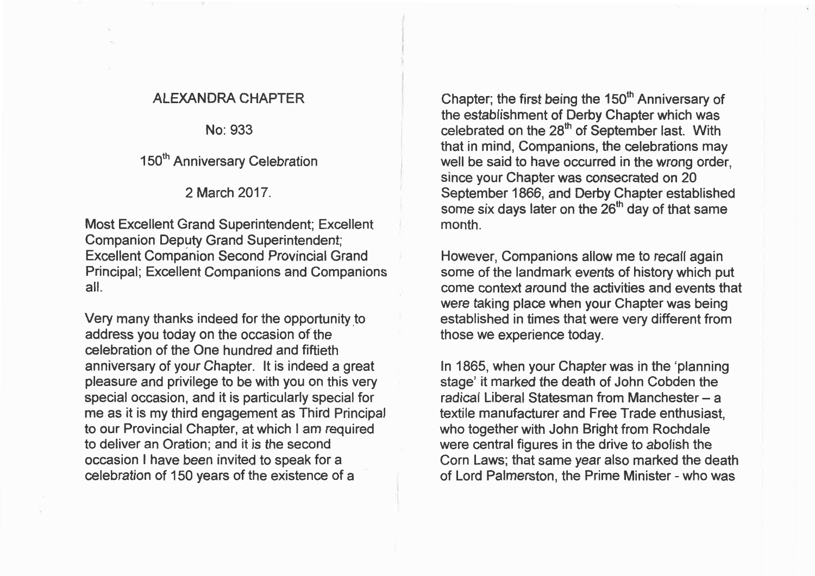No: 933

150<sup>th</sup> Anniversary Celebration

2 March 2017.

Most Excellent Grand Superintendent; Excellent Companion Deputy Grand Superintendent; Excellent Companion Second Provincial Grand Principal; Excellent Companions and Companions all.

Very many thanks indeed for the opportunity to address you today on the occasion *of* the celebration of the One hundred and fiftieth anniversary of your Chapter. It is indeed a great pleasure and privilege to be with you on this very special occasion, and it is particularly special for me as it is my third engagement as Third Principal to our Provincial Chapter, at which I am required to deliver an Oration; and it is the second occasion I have been invited to speak for a celebration of 150 years of the existence of a

ALEXANDRA CHAPTER CHAPTER Chapter; the first being the 150<sup>th</sup> Anniversary of the establishment of Derby Chapter which was celebrated on the 28<sup>th</sup> of September last. With that in mind, Companions, the celebrations may well be said to have occurred in the wrong order, since your Chapter was consecrated on 20 September 1866, and Derby Chapter established some six days later on the  $26<sup>th</sup>$  day of that same month.

> However, Companions allow me to recall again some of the landmark events of history which put come context around the activities and events that were taking place when your Chapter was being established in times that were very different from those we experience today.

In 1865, when your Chapter was in the 'planning stage' it marked the death of John Cobden the radical Liberal Statesman from Manchester - a textile manufacturer and Free Trade enthusiast, who together with John Bright from Rochdale were central figures in the drive to abolish the Corn Laws; that same year also marked the death of Lord Palmerston, the Prime Minister - who was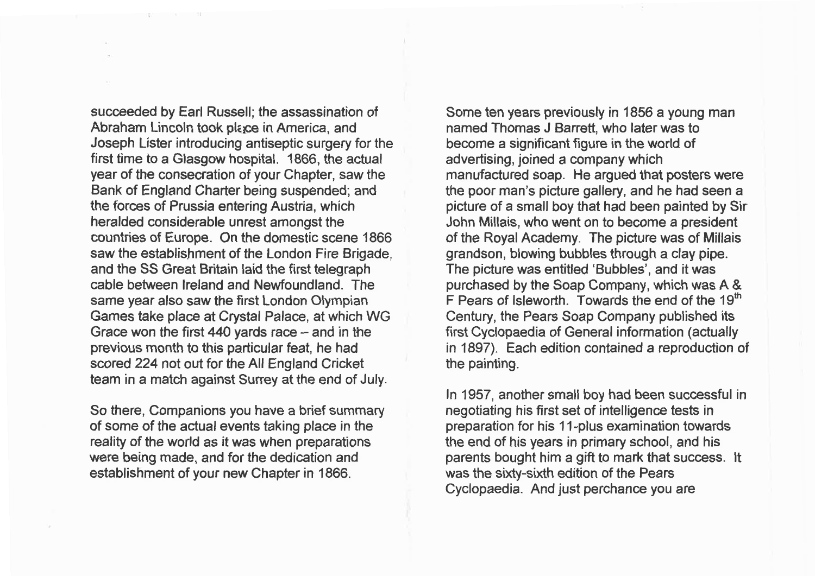succeeded by Earl Russell; the assassination of Abraham Lincoln took place in America, and Joseph Lister introducing antiseptic surgery for the first time to a Glasgow hospital. 1866, the actual year of the consecration of your Chapter, saw the Bank of England Charter being suspended; and the forces of Prussia entering Austria, which heralded considerable unrest amongst the countries of Europe. On the domestic scene 1866 saw the establishment of the London Fire Brigade, and the SS Great Britain laid the first telegraph cable between Ireland and Newfoundland. The same year also saw the first London Olympian Games take place at Crystal Palace, at which WG Grace won the first  $440$  vards race  $-$  and in the previous month to this particular feat, he had scored 224 not out for the All England Cricket team in a match against Surrey at the end of July.

So there, Companions you have a brief summary of some of the actual events taking place in the reality of the world as it was when preparations were being made, and for the dedication and establishment of your new Chapter in 1866.

Some ten years previously in 1856 a young man named Thomas J Barrett, who later was to become a significant figure in the world of advertising, joined a company which manufactured soap. He argued that posters were the poor man's picture gallery, and he had seen a picture of a small boy that had been painted by Sir John Millais, who went on to become a president of the Royal Academy. The picture was of Millais grandson, blowing bubbles through a clay pipe. The picture was entitled 'Bubbles', and it was purchased by the Soap Company, which was A & F Pears of Isleworth. Towards the end of the 19 $^{\rm m}$ Century, the Pears Soap Company published its first Cyclopaedia of General information (actually n 1897). Each edition contained a reproduction of the painting.

In 1957, another small boy had been successful in negotiating his first set of intelligence tests in preparation for his 11-plus examination towards the end of his years in primary school, and his parents bought him a gift to mark that success. It was the sixty-sixth edition of the Pears Cyclopaedia. And just perchance you are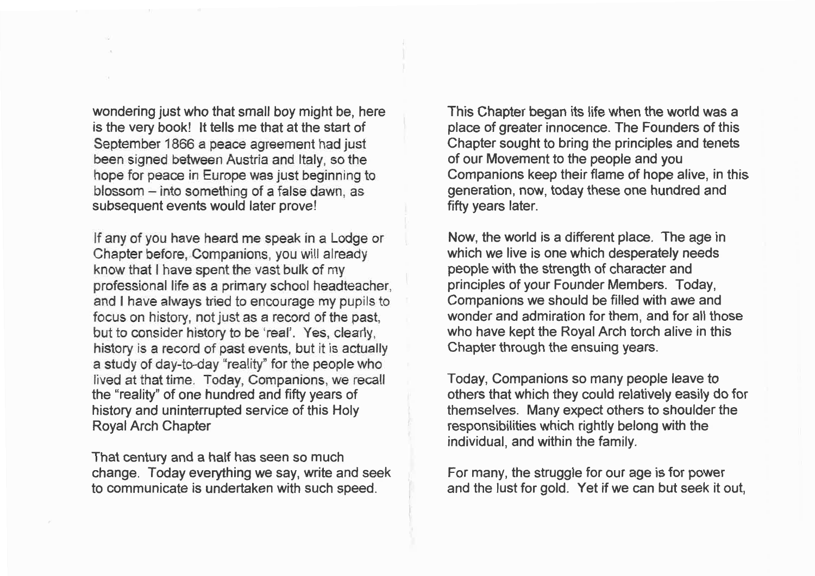wondering just who that small boy might be, here is the very book! It tells me that at the start of September 1866 a peace agreement had just been signed between Austria and Italy, so the hope for peace in Europe was just beginning to blossom - into something of a false dawn, as subsequent events would later prove!

If any of you have heard me speak in a Lodge or Chapter before, Companions, you will already know that I have spent the vast bulk of my professional life as a primary school headteacher, and I have always tried to encourage my pupils to focus on history, not just as a record of the past, but to consider history to be 'real'. Yes, clearly, history is a record of past events, but it is actually a study of day-to-day "reality" for the people who lived at that time. Today, Companions, we recall the "reality" of one hundred and fifty years of history and uninterrupted service of this Holy Royal Arch Chapter

That century and a half has seen so much change. Today everything we say, write and seek to communicate is undertaken with such speed.

This Chapter began its life when the world was a place of greater innocence. The Founders of this Chapter sought to bring the principles and tenets of our Movement to the people and you Companions keep their flame of hope alive, in this generation, now, today these one hundred and fifty years later.

Now, the world is a different place. The age in which we live is one which desperately needs people with the strength of character and principles of your Founder Members. Today, Companions we should be filled with awe and wonder and admiration for them, and for all those who have kept the Royal Arch torch alive in this Chapter through the ensuing years.

Today, Companions so many people leave to others that which they could relatively easily do for themselves. Many expect others to shoulder the responsibilities which rightly belong with the individual, and within the family.

For many, the struggle for our age is for power and the lust for gold. Yet if we can but seek it out,